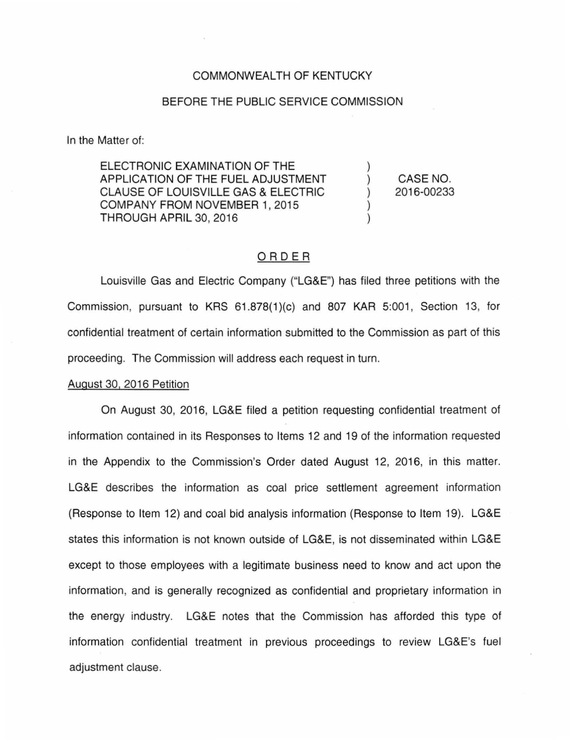# COMMONWEALTH OF KENTUCKY

# BEFORE THE PUBLIC SERVICE COMMISSION

In the Matter of:

ELECTRONIC EXAMINATION OF THE APPLICATION OF THE FUEL ADJUSTMENT CLAUSE OF LOUISVILLE GAS & ELECTRIC COMPANY FROM NOVEMBER 1, 2015 THROUGH APRIL 30, 2016

CASE NO. 2016-00233

) ) ) ) )

# ORDER

Louisville Gas and Electric Company ("LG&E") has filed three petitions with the Commission, pursuant to KRS 61.878(1)(c) and 807 KAR 5:001, Section 13, for confidential treatment of certain information submitted to the Commission as part of this proceeding. The Commission will address each request in turn.

#### August 30, 2016 Petition

On August 30, 2016, LG&E filed a petition requesting confidential treatment of information contained in its Responses to Items 12 and 19 of the information requested in the Appendix to the Commission's Order dated August 12, 2016, in this matter. LG&E describes the information as coal price settlement agreement information (Response to Item 12) and coal bid analysis information (Response to Item 19). LG&E states this information is not known outside of LG&E, is not disseminated within LG&E except to those employees with a legitimate business need to know and act upon the information, and is generally recognized as confidential and proprietary information in the energy industry. LG&E notes that the Commission has afforded this type of information confidential treatment in previous proceedings to review LG&E's fuel adjustment clause.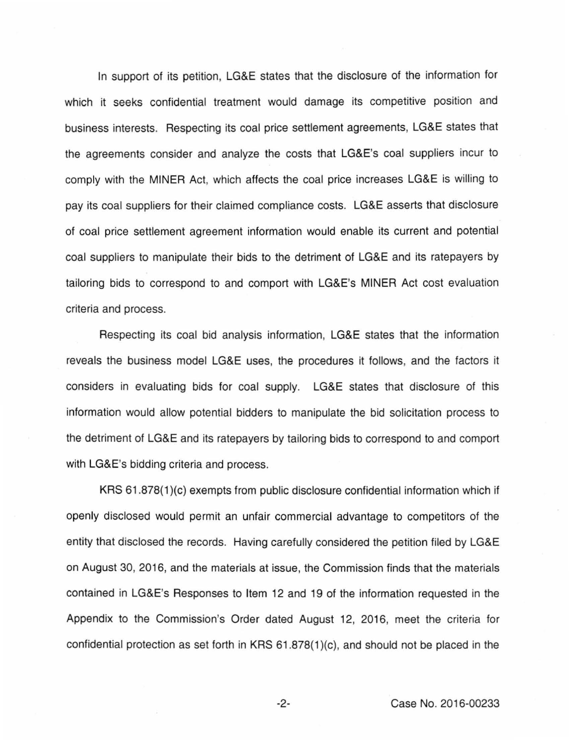In support of its petition, LG&E states that the disclosure of the information for which it seeks confidential treatment would damage its competitive position and business interests. Respecting its coal price settlement agreements, LG&E states that the agreements consider and analyze the costs that LG&E's coal suppliers incur to comply with the MINER Act, which affects the coal price increases LG&E is willing to pay its coal suppliers for their claimed compliance costs. LG&E asserts that disclosure of coal price settlement agreement information would enable its current and potential coal suppliers to manipulate their bids to the detriment of LG&E and its ratepayers by tailoring bids to correspond to and comport with LG&E's MINER Act cost evaluation criteria and process.

Respecting its coal bid analysis information, LG&E states that the information reveals the business model LG&E uses, the procedures it follows, and the factors it considers in evaluating bids for coal supply. LG&E states that disclosure of this information would allow potential bidders to manipulate the bid solicitation process to the detriment of LG&E and its ratepayers by tailoring bids to correspond to and comport with LG&E's bidding criteria and process.

KRS 61 .878(1 )(c) exempts from public disclosure confidential information which if openly disclosed would permit an unfair commercial advantage to competitors of the entity that disclosed the records. Having carefully considered the petition filed by LG&E on August 30, 2016, and the materials at issue, the Commission finds that the materials contained in LG&E's Responses to Item 12 and 19 of the information requested in the Appendix to the Commission's Order dated August 12, 2016, meet the criteria for confidential protection as set forth in KRS 61 .878(1 )(c), and should not be placed in the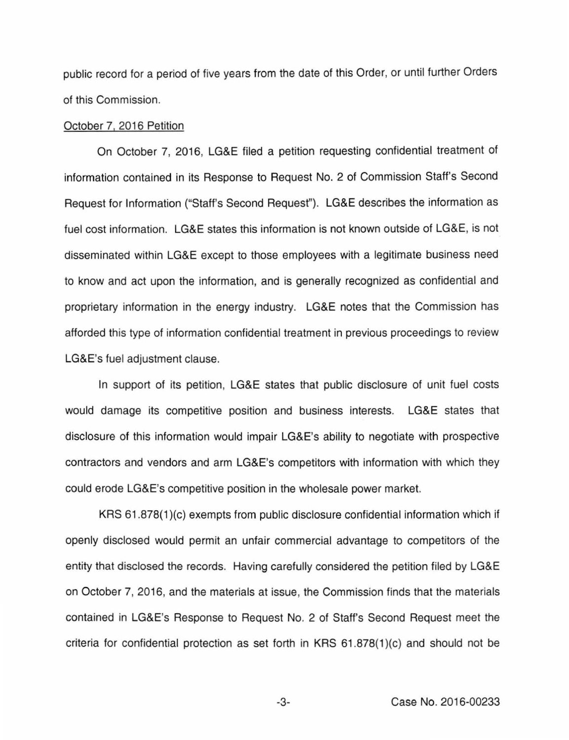public record for a period of five years from the date of this Order, or until further Orders of this Commission.

# October 7, 2016 Petition

On October 7, 2016, LG&E filed a petition requesting confidential treatment of information contained in its Response to Request No. 2 of Commission Staff's Second Request for Information ("Staff's Second Request''). LG&E describes the information as fuel cost information. LG&E states this information is not known outside of LG&E, is not disseminated within LG&E except to those employees with a legitimate business need to know and act upon the information, and is generally recognized as confidential and proprietary information in the energy industry. LG&E notes that the Commission has afforded this type of information confidential treatment in previous proceedings to review LG&E's fuel adjustment clause.

In support of its petition, LG&E states that public disclosure of unit fuel costs would damage its competitive position and business interests. LG&E states that disclosure of this information would impair LG&E's ability to negotiate with prospective contractors and vendors and arm LG&E's competitors with information with which they could erode LG&E's competitive position in the wholesale power market.

KRS 61 .878(1 )(c) exempts from public disclosure confidential information which if openly disclosed would permit an unfair commercial advantage to competitors of the entity that disclosed the records. Having carefully considered the petition filed by LG&E on October 7, 2016, and the materials at issue, the Commission finds that the materials contained in LG&E's Response to Request No. 2 of Staff's Second Request meet the criteria for confidential protection as set forth in KRS 61 .878(1 )(c) and should not be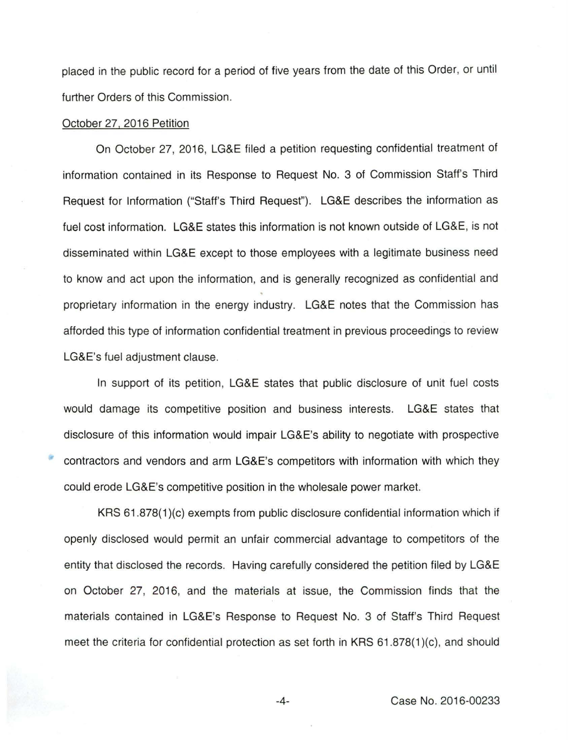placed in the public record for a period of five years from the date of this Order, or until further Orders of this Commission.

#### October 27, 2016 Petition

On October 27, 2016, LG&E filed a petition requesting confidential treatment of information contained in its Response to Request No. 3 of Commission Staff's Third Request for Information ("Staff's Third Request''). LG&E describes the information as fuel cost information. LG&E states this information is not known outside of LG&E, is not disseminated within LG&E except to those employees with a legitimate business need to know and act upon the information, and is generally recognized as confidential and proprietary information in the energy industry. LG&E notes that the Commission has afforded this type of information confidential treatment in previous proceedings to review LG&E's fuel adjustment clause.

In support of its petition, LG&E states that public disclosure of unit fuel costs would damage its competitive position and business interests. LG&E states that disclosure of this information would impair LG&E's ability to negotiate with prospective contractors and vendors and arm LG&E's competitors with information with which they could erode LG&E's competitive position in the wholesale power market.

KRS 61.878(1 )(c) exempts from public disclosure confidential information which if openly disclosed would permit an unfair commercial advantage to competitors of the entity that disclosed the records. Having carefully considered the petition filed by LG&E on October 27, 2016, and the materials at issue, the Commission finds that the materials contained in LG&E's Response to Request No. 3 of Staff's Third Request meet the criteria for confidential protection as set forth in KRS 61 .878(1 )(c), and should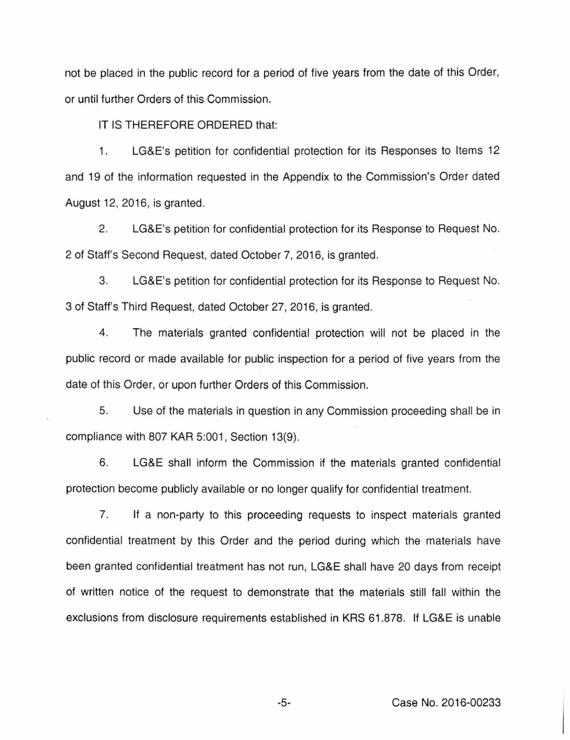not be placed in the public record for a period of five years from the date of this Order, or until further Orders of this Commission.

IT IS THEREFORE ORDERED that:

1. LG&E's petition for confidential protection for its Responses to Items 12 and 19 of the information requested in the Appendix to the Commission's Order dated August 12, 2016, is granted.

2. LG&E's petition for confidential protection for its Response to Request No. 2 of Staff's Second Request, dated October 7, 2016, is granted.

3. LG&E's petition for confidential protection for its Response to Request No. 3 of Staff's Third Request, dated October 27, 2016, is granted.

4. The materials granted confidential protection will not be placed in the public record or made available for public inspection for a period of five years from the date of this Order, or upon further Orders of this Commission.

5. Use of the materials in question in any Commission proceeding shall be in compliance with 807 KAR 5:001, Section 13(9).

6. LG&E shall inform the Commission if the materials granted confidential protection become publicly available or no longer qualify for confidential treatment.

7. If a non-party to this proceeding requests to inspect materials granted confidential treatment by this Order and the period during which the materials have been granted confidential treatment has not run, LG&E shall have 20 days from receipt of written notice of the request to demonstrate that the materials still fall within the exclusions from disclosure requirements established in KRS 61.878. If LG&E is unable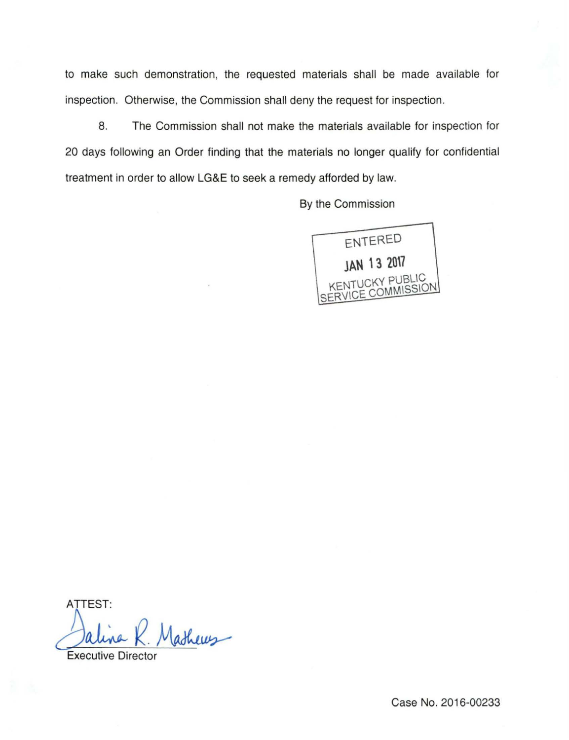to make such demonstration, the requested materials shall be made available for inspection. Otherwise, the Commission shall deny the request for inspection.

8. The Commission shall not make the materials available for inspection for 20 days following an Order finding that the materials no longer qualify for confidential treatment in order to allow **LG&E** to seek a remedy afforded by law.

By the Commission



ATTEST: Jalina R. Mathews